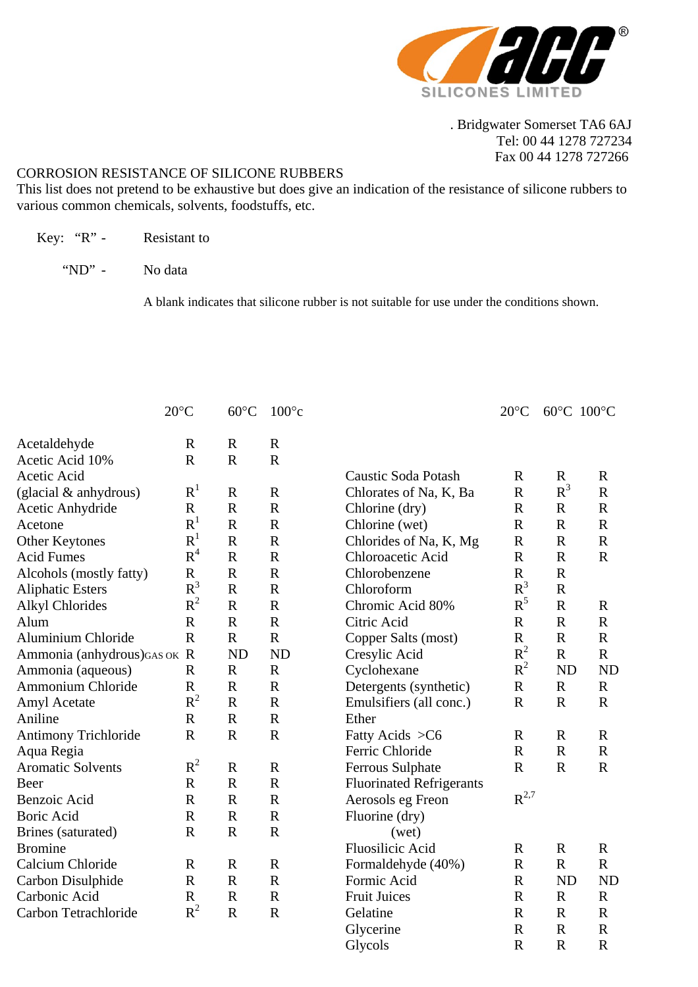

 . Bridgwater Somerset TA6 6AJ Tel: 00 44 1278 727234 Fax 00 44 1278 727266

## CORROSION RESISTANCE OF SILICONE RUBBERS

This list does not pretend to be exhaustive but does give an indication of the resistance of silicone rubbers to various common chemicals, solvents, foodstuffs, etc.

- Key: "R" Resistant to
	- "ND" No data

A blank indicates that silicone rubber is not suitable for use under the conditions shown.

|                              | $20^{\circ}$ C | $60^{\circ}$ C | $100^{\circ}c$ |                                 | $20^{\circ}$ C | 60°C 100°C   |             |
|------------------------------|----------------|----------------|----------------|---------------------------------|----------------|--------------|-------------|
| Acetaldehyde                 | $\mathbf R$    | $\mathbb{R}$   | $\mathbf R$    |                                 |                |              |             |
| Acetic Acid 10%              | $\mathbf R$    | $\mathbf R$    | $\mathbf R$    |                                 |                |              |             |
| Acetic Acid                  |                |                |                | Caustic Soda Potash             | $\mathbf R$    | $\mathbf R$  | $\mathbf R$ |
| (glacial $&$ anhydrous)      | $R^1$          | $\mathbb{R}$   | $\mathbb{R}$   | Chlorates of Na, K, Ba          | $\mathbf R$    | $R^3$        | $\mathbf R$ |
| Acetic Anhydride             | $\mathbf R$    | $\mathbf R$    | $\mathbf R$    | Chlorine (dry)                  | $\mathbf R$    | $\mathbf R$  | $\mathbf R$ |
| Acetone                      | R <sup>1</sup> | $\mathbf R$    | $\mathbf R$    | Chlorine (wet)                  | $\mathbf R$    | ${\bf R}$    | $\mathbf R$ |
| Other Keytones               | $R^1$          | $\mathbf R$    | $\mathbf R$    | Chlorides of Na, K, Mg          | $\mathbf R$    | $\mathbf R$  | $\mathbf R$ |
| <b>Acid Fumes</b>            | R <sup>4</sup> | $\mathbf R$    | $\mathbf R$    | Chloroacetic Acid               | $\mathbb{R}$   | $\mathbf R$  | $\mathbf R$ |
| Alcohols (mostly fatty)      | $\mathbf R$    | $\mathbf R$    | $\mathbf R$    | Chlorobenzene                   | $\mathbf R$    | $\mathbf R$  |             |
| <b>Aliphatic Esters</b>      | $R^3$          | $\mathbf R$    | $\mathbf R$    | Chloroform                      | $R^3$          | $\mathbf R$  |             |
| <b>Alkyl Chlorides</b>       | $R^2$          | $\mathbf R$    | $\mathbf R$    | Chromic Acid 80%                | $R^5$          | $\mathbf R$  | $\mathbf R$ |
| Alum                         | $\mathbf R$    | $\mathbf R$    | $\mathbf R$    | Citric Acid                     | $\mathbf R$    | $\mathbf R$  | $\mathbf R$ |
| Aluminium Chloride           | $\mathbf R$    | $\mathbf R$    | $\mathbf R$    | Copper Salts (most)             | $\mathbf R$    | $\mathbf R$  | $\mathbf R$ |
| Ammonia (anhydrous) GAS OK R |                | <b>ND</b>      | <b>ND</b>      | Cresylic Acid                   | $R^2$          | ${\bf R}$    | $\mathbf R$ |
| Ammonia (aqueous)            | $\mathbf R$    | $\mathbf R$    | $\mathbf R$    | Cyclohexane                     | $R^2$          | <b>ND</b>    | <b>ND</b>   |
| Ammonium Chloride            | $\mathbf R$    | $\mathbf R$    | $\mathbf R$    | Detergents (synthetic)          | $\mathbf R$    | $\mathbf R$  | $\mathbf R$ |
| Amyl Acetate                 | $R^2$          | $\mathbb{R}$   | $\mathbf R$    | Emulsifiers (all conc.)         | $\mathbb{R}$   | $\mathbf R$  | $\mathbf R$ |
| Aniline                      | $\mathbf R$    | $\mathbf R$    | $\mathbf R$    | Ether                           |                |              |             |
| <b>Antimony Trichloride</b>  | $\mathbf R$    | $\mathbf R$    | $\mathbf R$    | Fatty Acids > C6                | $\mathbb{R}$   | $\mathbf R$  | $\mathbf R$ |
| Aqua Regia                   |                |                |                | Ferric Chloride                 | $\mathbb{R}$   | $\mathbb{R}$ | $\mathbf R$ |
| <b>Aromatic Solvents</b>     | $R^2$          | $\mathbf R$    | $\mathbf R$    | <b>Ferrous Sulphate</b>         | $\mathbf R$    | $\mathbf R$  | $\mathbf R$ |
| Beer                         | $\mathbf R$    | $\mathbf R$    | $\mathbf R$    | <b>Fluorinated Refrigerants</b> |                |              |             |
| Benzoic Acid                 | $\mathbf R$    | $\mathbf R$    | $\mathbf R$    | Aerosols eg Freon               | $R^{2,7}$      |              |             |
| <b>Boric Acid</b>            | $\mathbf R$    | $\mathbf R$    | $\mathbf R$    | Fluorine (dry)                  |                |              |             |
| Brines (saturated)           | $\mathbf R$    | $\mathbf R$    | $\mathbf R$    | (wet)                           |                |              |             |
| <b>Bromine</b>               |                |                |                | <b>Fluosilicic Acid</b>         | $\mathbf R$    | $\mathbf R$  | $\mathbf R$ |
| Calcium Chloride             | $\mathbf R$    | $\mathbf R$    | $\mathbb{R}$   | Formaldehyde (40%)              | $\mathbb{R}$   | $\mathbf R$  | $\mathbf R$ |
| Carbon Disulphide            | $\mathbf R$    | $\mathbf R$    | $\mathbf R$    | Formic Acid                     | $\mathbb{R}$   | <b>ND</b>    | <b>ND</b>   |
| Carbonic Acid                | $\mathbf R$    | $\mathbf R$    | $\mathbf R$    | <b>Fruit Juices</b>             | $\mathbf R$    | $\mathbf R$  | $\mathbf R$ |
| Carbon Tetrachloride         | $R^2$          | $\mathbf R$    | $\mathbf R$    | Gelatine                        | $\mathbb{R}$   | $\mathbf R$  | $\mathbf R$ |
|                              |                |                |                | Glycerine                       | $\mathbf R$    | $\mathbf R$  | $\mathbf R$ |
|                              |                |                |                | Glycols                         | $\mathbf R$    | $\mathbf R$  | $\mathbf R$ |